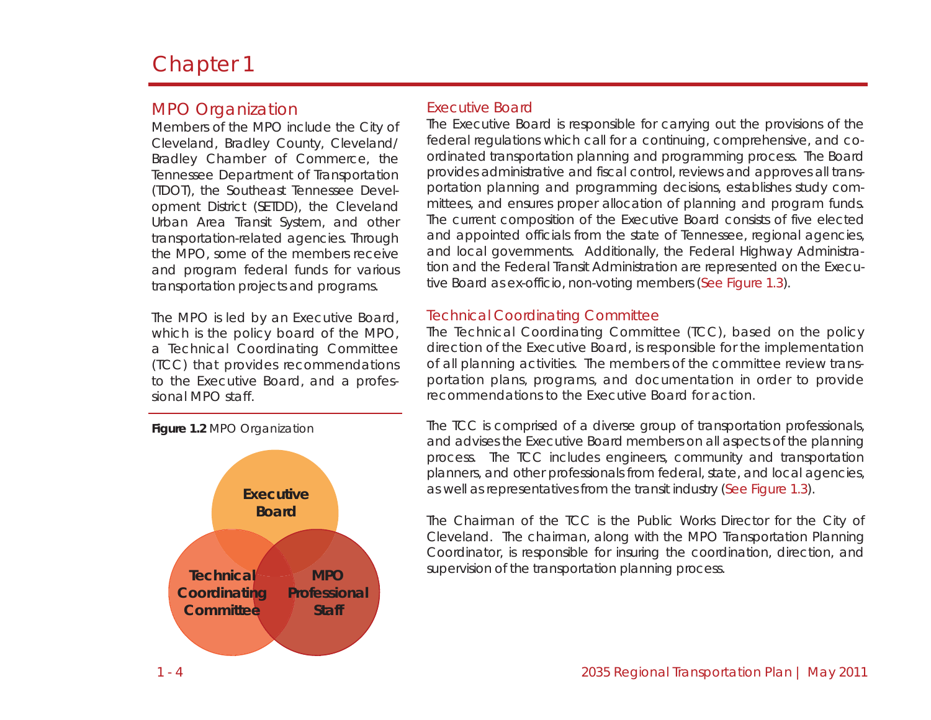# Chapter 1

## MPO Organization

Members of the MPO include the City of Cleveland, Bradley County, Cleveland/ Bradley Chamber of Commerce, the Tennessee Department of Transportation (TDOT), the Southeast Tennessee Development District (SETDD), the Cleveland Urban Area Transit System, and other transportation-related agencies. Through the MPO, some of the members receive and program federal funds for various transportation projects and programs.

The MPO is led by an Executive Board, which is the policy board of the MPO, a Technical Coordinating Committee (TCC) that provides recommendations to the Executive Board, and <sup>a</sup> professional MPO staff.



## Executive Board

The Executive Board is responsible for carrying out the provisions of the federal regulations which call for a continuing, comprehensive, and coordinated transportation planning and programming process. The Board provides administrative and fiscal control, reviews and approves all transportation planning and programming decisions, establishes study committees, and ensures proper allocation of planning and program funds. The current composition of the Executive Board consists of five elected and appointed officials from the state of Tennessee, regional agencies, and local governments. Additionally, the Federal Highway Administration and the Federal Transit Administration are represented on the Executive Board as ex-officio, non-voting members (See Figure 1.3).

### Technical Coordinating Committee

The Technical Coordinating Committee (TCC), based on the policy direction of the Executive Board, is responsible for the implementation of all planning activities. The members of the committee review transportation plans, programs, and documentation in order to provide recommendations to the Executive Board for action.

The TCC is comprised of a diverse group of transportation professionals, and advises the Executive Board members on all aspects of the planning process. The TCC includes engineers, community and transportation planners, and other professionals from federal, state, and local agencies, as well as representatives from the transit industry (See Figure 1.3).

The Chairman of the TCC is the Public Works Director for the City of Cleveland. The chairman, along with the MPO Transportation Planning Coordinator, is responsible for insuring the coordination, direction, and supervision of the transportation planning process.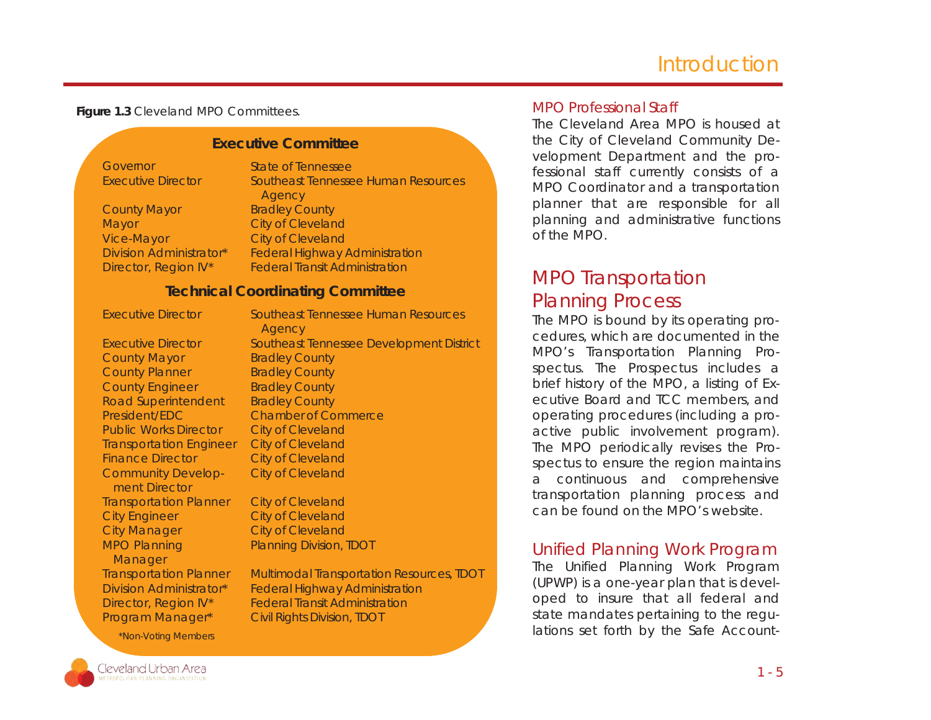# **Introduction**

**Figure 1.3** Cleveland MPO Committees.

Executive Committee<br>
Executive Director State of Tennessee<br>
Executive Director Southceast Tennessee Human Resources<br>
County Mayor Bradley County<br>
Mayor Exploy Claveland<br>
Virgo Claveland<br>
Division Administrator<br>
City of Cle

### MPO Professional Staff

The Cleveland Area MPO is housed at the City of Cleveland Community Development Department and the professional staff currently consists of a MPO Coordinator and a transportation planner that are responsible for all planning and administrative functions of the MPO.

# MPO Transportation Planning Process

The MPO is bound by its operating procedures, which are documented in the MPO's Transportation Planning Prospectus. The Prospectus includes a brief history of the MPO, a listing of Executive Board and TCC members, and operating procedures (including a proactive public involvement program). The MPO periodically revises the Prospectus to ensure the region maintains a continuous and comprehensive transportation planning process and can be found on the MPO's website.

## Unified Planning Work Program

The Unified Planning Work Program (UPWP) is a one-year plan that is developed to insure that all federal and state mandates pertaining to the regulations set forth by the Safe Account-



\*Non-Voting Members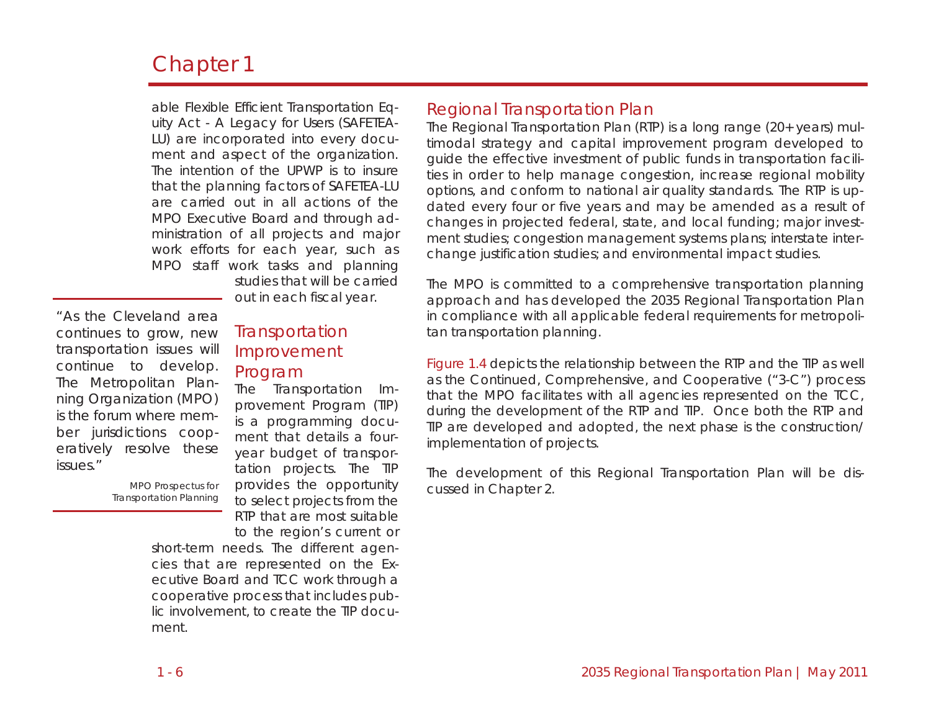# Chapter 1

able Flexible Efficient Transportation Equity Act - A Legacy for Users (SAFETEA-LU) are incorporated into every document and aspect of the organization. The intention of the UPWP is to insure that the planning factors of SAFETEA-LU are carried out in all actions of the MPO Executive Board and through administration of all projects and major work efforts for each year, such as MPO staff work tasks and planning

studies that will be carried out in each fiscal year.

*"As the Cleveland area continues to grow, new transportation issues will continue to develop. The Metropolitan Planning Organization (MPO) is the forum where member jurisdictions cooperatively resolve these issues."* 

> *MPO Prospectus for Transportation Planning*

## **Transportation** Improvement Program

The Transportation Improvement Program (TIP) is <sup>a</sup> programming document that details a fouryear budget of transportation projects. The TIP provides the opportunity to select projects from the RTP that are most suitable to the region's current or

short-term needs. The different agencies that are represented on the Executive Board and TCC work through a cooperative process that includes public involvement, to create the TIP document.

## Regional Transportation Plan

The Regional Transportation Plan (RTP) is a long range (20+ years) multimodal strategy and capital improvement program developed to guide the effective investment of public funds in transportation facilities in order to help manage congestion, increase regional mobility options, and conform to national air quality standards. The RTP is updated every four or five years and may be amended as a result of changes in projected federal, state, and local funding; major investment studies; congestion management systems plans; interstate interchange justification studies; and environmental impact studies.

The MPO is committed to a comprehensive transportation planning approach and has developed the 2035 Regional Transportation Plan in compliance with all applicable federal requirements for metropolitan transportation planning.

Figure 1.4 depicts the relationship between the RTP and the TIP as well as the Continued, Comprehensive, and Cooperative ("3-C") process that the MPO facilitates with all agencies represented on the TCC, during the development of the RTP and TIP. Once both the RTP and TIP are developed and adopted, the next phase is the construction/ implementation of projects.

The development of this Regional Transportation Plan will be discussed in Chapter 2.